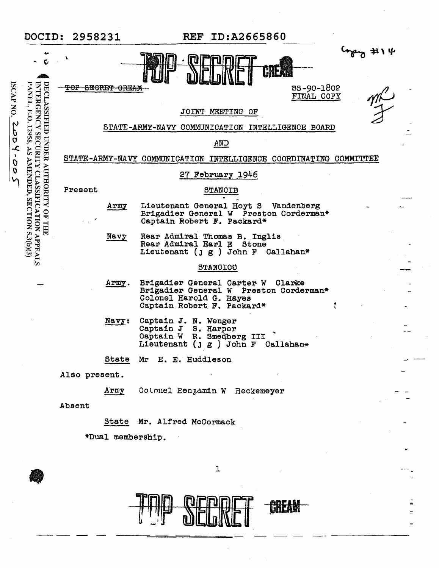|                                                                                         |                                                                                                                                                | DOCID: 2958231                                                    |                                                  |                                                                                                                               | <b>REF ID:A2665860</b> |                          |                |
|-----------------------------------------------------------------------------------------|------------------------------------------------------------------------------------------------------------------------------------------------|-------------------------------------------------------------------|--------------------------------------------------|-------------------------------------------------------------------------------------------------------------------------------|------------------------|--------------------------|----------------|
| <b>ISCAPNO.</b><br>acz<br>$\overline{c}$<br>$\pmb{\chi}$<br>$\frac{\partial}{\partial}$ | ්ර<br>INTERGENCY SECURITY CLASSIFICATION APPEALS<br>PANEL, E.O. 12958, AS AMENDED, SECTION 5.3(b)(3)<br>DECLASSIFIED<br>UNDER AUTHORITY OF THE |                                                                   |                                                  | CREAN<br>JOINT MEETING OF                                                                                                     |                        | 88-90-1802<br>FINAL COPY | 414<br>mĽ<br>F |
|                                                                                         |                                                                                                                                                |                                                                   | STATE-ARMY-NAVY COMMUNICATION INTELLIGENCE BOARD |                                                                                                                               |                        |                          |                |
|                                                                                         |                                                                                                                                                |                                                                   |                                                  |                                                                                                                               | AND                    |                          |                |
|                                                                                         |                                                                                                                                                | STATE-ARMY-NAVY COMMUNICATION INTELLIGENCE COORDINATING COMMITTEE |                                                  |                                                                                                                               |                        |                          |                |
|                                                                                         |                                                                                                                                                | 27 February 1946                                                  |                                                  |                                                                                                                               |                        |                          |                |
|                                                                                         |                                                                                                                                                | Present                                                           |                                                  | <b>STANCIB</b>                                                                                                                |                        |                          |                |
|                                                                                         |                                                                                                                                                |                                                                   | Army                                             | Lieutenant General Hoyt S Vandenberg<br>Brigadier General W Preston Corderman*<br>Captain Robert F. Packard*                  |                        |                          |                |
|                                                                                         |                                                                                                                                                |                                                                   | Navy                                             | Rear Admiral Thomas B. Inglis<br>Rear Admiral Earl E<br>Lieutenant ( $j g$ ) John F Callahan*                                 | Stone                  |                          |                |
|                                                                                         |                                                                                                                                                |                                                                   |                                                  |                                                                                                                               | <b>STANCICO</b>        |                          |                |
|                                                                                         |                                                                                                                                                |                                                                   | Army.                                            | Brigadier General Carter W<br>Brigadier General W Preston Corderman*<br>Colonel Harold G. Hayes<br>Captain Robert F. Packard* |                        | Clarke                   |                |
|                                                                                         |                                                                                                                                                |                                                                   | $N$ avy:                                         | Captain J. N. Wenger<br>Captain J S. Harper<br>Captain W R. Smedberg III<br>Lieutenant ( $j g$ ) John F Callahan*             |                        |                          |                |
|                                                                                         |                                                                                                                                                |                                                                   | State                                            | Mr E. E. Huddleson                                                                                                            |                        |                          |                |
|                                                                                         |                                                                                                                                                | Also present.                                                     |                                                  |                                                                                                                               |                        |                          |                |
|                                                                                         |                                                                                                                                                |                                                                   | Army                                             | Colonel Penjamin W Reckemeyer                                                                                                 |                        |                          |                |
|                                                                                         |                                                                                                                                                | Absent                                                            |                                                  |                                                                                                                               |                        |                          |                |
|                                                                                         |                                                                                                                                                |                                                                   |                                                  | State Mr. Alfred McCormack                                                                                                    |                        |                          |                |
|                                                                                         |                                                                                                                                                | *Dual membership.                                                 |                                                  |                                                                                                                               |                        |                          |                |
|                                                                                         |                                                                                                                                                |                                                                   |                                                  |                                                                                                                               | 1                      |                          |                |
|                                                                                         |                                                                                                                                                |                                                                   |                                                  |                                                                                                                               |                        |                          |                |

 $\frac{1}{2}$ 

 $\equiv$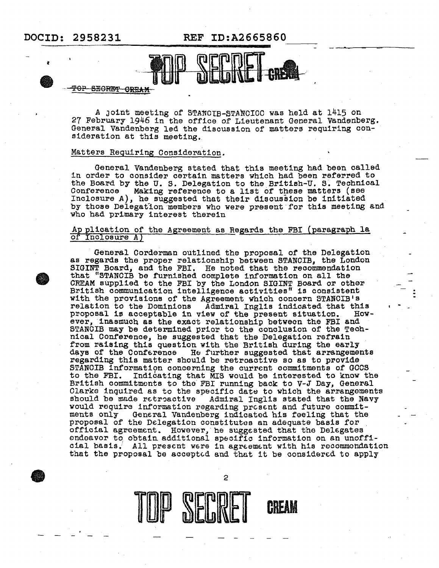**DOCID: 2958231 REF ID:A2665860** 



#### **TOP SECRET OREAM**

A joint meeting of STANCIB-STANCICC was held at 1415 on 27 February 1946 in the office of Lieutenant General Vandenberg. General Vandenberg led the discussion of matters requiring consideration at this meeting.

#### Mattera Requiring Consideration.

General Vandenberg stated that this meeting had been called in order to consider certain matters which had been referred to the Board by the U. S. Delegation to the British-U. S. Technical<br>Conference Making reference to a list of these matters (see Making reference to a list of these matters (see Inclosure A), he suggested that their d1souss1on be initiated by those Delegation members who were present for this meeting and who had primary interest therein

#### Ap plication of the Agreement as Regards the FBI (paragraph la of Inclosure A)

General Corderman outlined the proposal of the Delegation as regards the proper relationship between STANOIB, the London SIGINT Board, and the FBI. He noted that the recommendation that "STANOIB be f'urn1shed complete information on all the CREAM supplied to the FBI by the London SIGINT Board or other British communication intelligence activities" is consistent  $-$ : with the provisions of the Agreement which concern STANOIB's relation to the Dominions Admiral Inglis indicated that this proposal is acceptable in view of the present situation. However, inasmuch as the exact relationship between the FBI and STANCIB may be determined prior to the conclusion of the Technical Conference, he suggested that the Delegation refrain from raising this question with the British during the early days of the Conference He further suggested that arrangements regarding this matter should be retroactive so as to provide regarding this matter should be retroactive so as to provide<br>STANCIB information concerning the current commitments of GOOS<br>to the FBI. Indicating that MIS would be interested to know th Indicating that MIS would be interested to know the British commitments to the FBI running back to  $V-J$  Day, General Clarke inquired as to the specific date to which the arrangements should be made retroactive Admiral Inglis stated that the Navy<br>would require information regarding present and future commit-<br>ments only General Vandenberg indicated his feeling that the General Vandenberg indicated his feeling that the proposal of the Delegation constitutes an adequate basis for official agreement. However, he sugggsted that the Del6gates endeavor to obtain additional specific information on an unofficial basis. All present were in agreement with his recommondation that the proposal be accepted and that it be considered to apply



2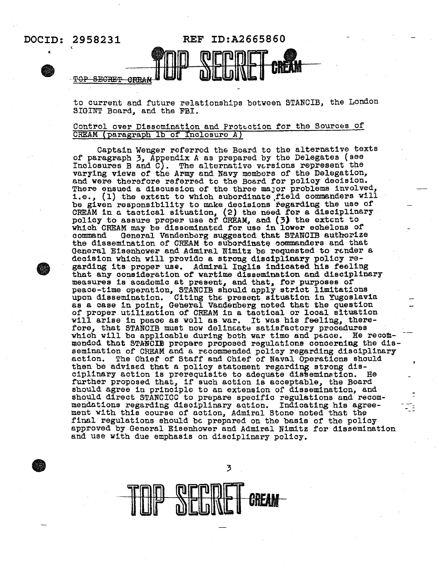

to current and future relationships botween STANCIB, the London SIGINT Board, and the FBI.

#### Control over Dissemination and Protection for the Sources of CREAM (paragraph 1b of Inclosure A)

Captain Wenger referred the Board to the alternative texts of paragraph  $3$ , Appendix A as prepared by the Delegates (see Inclosures B and C). The alternative versions represent the varying views of the Army and Navy members of the Delegation, and were therefore referred to the Board for policy decision. There ensued a discussion of the three major problems involved, 1.e., (1) the extent to which subordinate,field commanders will be given responsibility to make decisions regarding the use of CREAM in a tactical situation, (2) the need for a disciplinary policy to assure proper use of CREAM, and (3) the extent to which CREAM may be dissominated for use in lower echelons of command General Vandenberg suggested that STANCIB authorize General Vandenberg suggested that STANCIB authorize the dissemination of CREAM to subordinate commanders and that General Eisenhower and Admiral Nimitz be requested to render a decision which will provide a strong disciplinary policy re-<br>garding its proper use. Admiral Inglis indicated his feeling that any consideration of wartime dissemination and disciplinary measures is academic at present, and that, for purposes of measures is academic at present, and that, for purposes of upon dissemination. Citing the present situation in Yugoslavia as a case in point, General Vandenberg noted that the question of proper utilization of CREAM in a tactical or local situation of proper utilization of CREAM in a tactical or local situation<br>will arise in peace as well as war. It was his feeling, there-<br>fore, that STANCIB must now delineate satisfactory procedures which will be applicable during both war time and peace. He recommonded that STANCIE prepare proposed regulations concerning the dissemination of CREAM and a recommended policy regarding disciplinary action. The Chief of Staff and Chief of Naval Operations should then be advised that a policy statement regarding strong disciplinary action is prerequisite to adequate dissemination. He further proposed that, if' such action is acceptable, the Board should agree in principle to an extension of dissemination, and shoµld direct STANCIOC to prepare specific regulations and recommendations regarding disciplinary action. Indicating his agreement with this course of action, Admiral Stone noted that the final regulations should be prepared on the basis of the policy approved by General Eisenhower and Admiral Nimitz for dissemination and use with due emphasis on disciplinary policy.



3

ΠE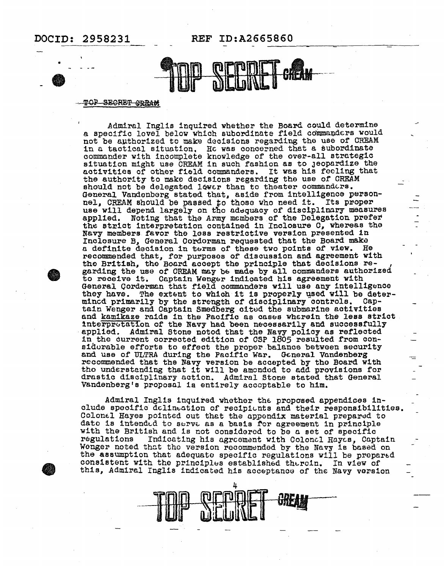

#### TOP SEGRET GREAM

Admiral Inglis inquired whether the Board could determine a specific level below which subordinate field commanders would not be authorized to make decisions regarding the use of CREAM in a tactical situation. He was concerned that a subordinate commander with incomplete knowledge of the over-all strategic situation might use CREAM in such fashion as to Jeopardize the activities of other field commanders. It was his feeling that the authority to make decisions regarding the use of CREAM should not be delegated lower than to theater commanders. General Vandenberg stated that, aside from intelligence personnel, CREAM should be passed to those who need it. Its proper use will depend largely on tho adequacy of disciplinary measures applied. Noting that the Army members of the Delegation prefer the strict interpretation contained in Inclosure 0, whereas the Navy members favor the loss restrictive version presented in Inclosure *B1* General Oordorman requested that the Board maku a definite decision in terms of these two points of view. recommended that, for purposes of discussion and agreement with the British, the Board accept the principle that decisions regarding the use of CREAM may b& made by all commanders authorized to receive it. Captain Wenger indicated his agreement with General Corderman that field commanders will use any intelligence they have. The extent to which it is properly used will be deter-<br>mincd primarily by the strength of disciplinary controls. Captain Wenger and Captain Smedberg cited the submarine activities and kamikaze raids in the Pacific as cases wherein the less strict interpretation of the Navy had been necessarily and successfully interprotation of the Navy had been necessarily and successfully applied. Admiral Stone notod that the Navy policy as reflected in the current corrected edition of CSP 1805 resulted from considurable efforts to effect the proper balance between security and use of ULTRA during the Pacific War. General Vandenberg recommended that the Navy version be accepted by the Board with tho understending that it will be amondod to add provisions for drastic disciplinary action. Admiral Stone stated that General Vandenberg's proposal is entirely acceptable to him.

Admiral Inglis inquired whother the proposed appendices include specific delineation of recipionts and their responsibilities. Colonel Hayes pointed out that the appondix material prepared to date is intended to serve as a basis for agreement in principle with the British and is not considered to be a set of specific<br>regulations Indicating his agreement with Colonel Hayes. Capta Indicating his agreement with Colonal Hayes, Captain Wenger noted that the version recommended by the Navy is based on the assumption that adequate specific regulations will be prepared consistent with the principles established thercin. In view of this, Admiral Inglis indicated his acceptance of the Navy version



e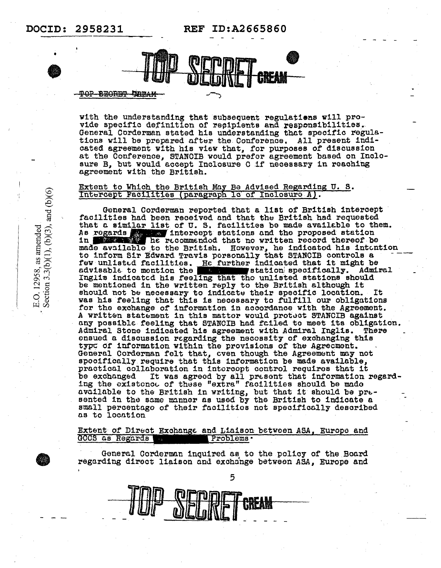REF ID:A2665860



#### <del>TOP BEORET BREAM</del>

with the understanding that subsequent regulations will pro-<br>vide specific definition of recipients and responsibilities. General Corderman stated his understanding that specific regulations will be prepared after the Conference. All present indicated agreement with his view that, for purposes of discussion at the Conference, STANCIB would prefer agreement based on Inclosure B, but would accept Inclosure C if necessary in reaching agreement with the British.

#### Extent to Which the British May Be Advised Regarding U.S. Intercept Facilities (paragraph 1c of Inclosure A).

General Corderman reported that a list of British intercept facilities had been received and that the British had requested that a similar list of U.S. facilities be made available to them. As regards that intercept stations and the proposed station<br>in the secommended that no written record thereof be made available to the British. However, he indicated his intention to inform Sir Edward Travis personally that STANCIB controls a few unlisted facilities. He further indicated that it might be Admiral  $\blacksquare$ station specifically. advisable to mention the the service Inglis indicated his feeling that tho unlisted stations should be mentioned in the written reply to the British although it should not be necessary to indicate their specific location. It was his feeling that this is necessary to fulfill our obligations for the exchange of information in accordance with the Agreement. A written statement in this mattor would protect STANCIB against any possible feeling that STANCIB had failed to meet its obligation. Admiral Stone indicated his agreement with Admiral Inglis. There ensued a discussion regarding the necessity of exchanging this type of information within the provisions of the Agreement. General Corderman felt that, even though the Agreement may not spocifically require that this information be made available, practical collaboration in intercept control requires that it be exchanged It was agreed by all present that information regard-<br>ing the existence of these "extra" facilities should be made available to the British in writing, but that it should be presented in the same manner as used by the British to indicate a small percentago of their facilities not specifically described as to location

Extent of Direct Exchange and Liaison between ASA, Europe and GCCS as Regards Problems .

General Corderman inquired as to the policy of the Board regarding direct liaison and exchange between ASA, Europe and



E.O. 12958, as amended<br>Section 3.3(b)(1), (b)(3), and (b)(6)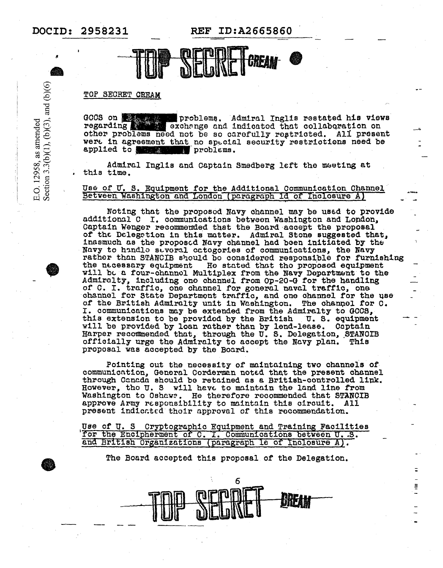E.O. 12958, as amended<br>Section 3.3(b)(1), (b)(3), and (b)(6)

REF ID:A2665860



#### TOP SECRET CREAM

GOOS on problems. Admiral Inglis restated his views regarding other problems need not be so carefully restricted. All present were in agreement that no special security restrictions need be applied to the second problems.

Admiral Inglis and Captain Smedberg left the meeting at this time.

# Use of U.S. Equipment for the Additional Communication Channel<br>Between Washington and London (paragraph 1d of Inclosure A)

Noting that the proposed Navy channel may be used to provide additional C I. communications between Washington and London, Captain Wenger recommended that the Board accept the proposal of the Delegation in this matter. Admiral Stone suggested that, inasmuch as the proposed Navy channel had been initiated by the Navy to handle several ectogories of communications, the Navy rather than STANCIB should be considered responsible for furnishing the necessary equipment He stated that the proposed equipment will be a four-channel Multiplex from the Navy Department to the Admiralty, including one channel from Op-20-G for the handling of C. I. traffic, one channel for goneral naval traffic, one channel for state Department traffic, and one channel for the use of the British Admiralty unit in Washington. The channel for C. I. communications may be extended from the Admiralty to GCCS, this extension to be provided by the British U.S. equipment will be provided by loan rather than by lend-lease. Captain<br>Harper recommended that, through the U.S. Delegation, STANCIB<br>officially urge the Admiralty to accept the Navy plan. This proposal was accepted by the Board.

Pointing out the necessity of maintaining two channels of communication, General Corderman noted that the present channel through Canada should be retained as a British-controlled link. However, the U. S will have to maintain the land line from Washington to Oshawe. He therefore recommended that STANCIB approve Army responsibility to maintain this circuit. All present indicated their approval of this recommendation.

Use of U. S Cryptographic Equipment and Training Facilities for the Encipherment of C. I. Communications between U.S. and British Organizations (paragraph le of Inclosure A).

The Board accepted this proposal of the Delegation.

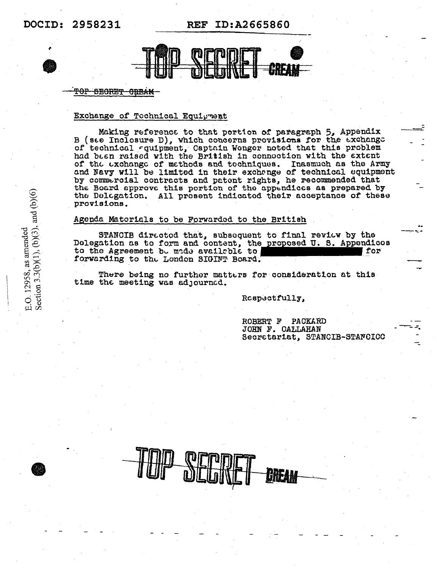REF ID:A2665860



#### TOP BEORET OREAM

#### Exchange of Technical Equipment

Making reference to that pertion of paragraph 5, Appendix<br>B (see Inclosure D), which concerns provisions for the exchange of technical aquipment, Captain Wenger noted that this problem had been raised with the British in connection with the extent of the exchange of methods and tochniques. Inasmuch as the Army and Navy will be limited in their exchange of technical equipment by commercial contracts and patent rights, he recommended that the Board approve this portion of the appendices as prepared by the Delegation. All present indicated their acceptance of these provisions.

#### Agenda Materials to be Forwarded to the British

STANCIB directod that, subsequent to final review by the Delegation as to form and content, the proposed U.S. Appendicos to the Agreement be mide available to for forwarding to the London SIGINT Board.

There being no further matters for consideration at this time the meeting was adjourned.

Rospectfully,

ROBERT F PACKARD JOHN F. CALLAHAN Secretariat, STANCIB-STANCICC



E.O. 12958, as amended<br>Section 3.3(b)(1), (b)(3), and (b)(6)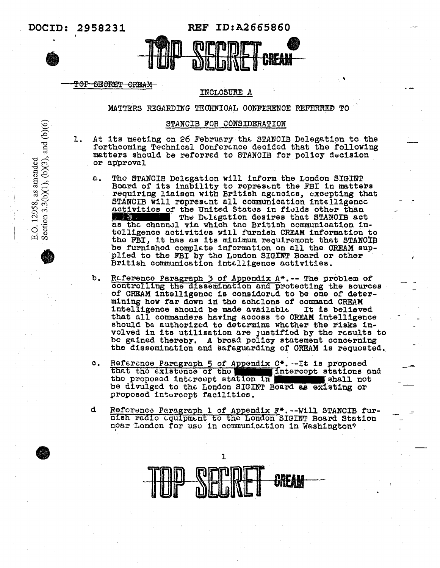Section  $3.3(b)(1)$ ,  $(b)(3)$ , and  $(b)(6)$ 

O. 12958, as amended

ம்

**REF ID:A2665860** 



#### TOP SECRET CREAM

#### INCLOSURE A

MATTERS REGARDING TECHNICAL CONFERENCE REFERRED TO

#### STANCIB FOR CONSIDERATION

At its meeting on 26 February the STANCIB Delegation to the ı. forthcoming Technical Conference decided that the following matters should be referred to STANCIB for policy decision or approval

- $\alpha$ . Tho STANCIB Delegation will inform the London SIGINT Board of its inability to represent the FBI in matters<br>requiring liaison with British agencies, excepting that<br>STANCIB will represent all communication intelligence activities of the United States in fields other than The Delegation desires that STANCIB act 1.2 唐瓒 : as the channel via which the British communication intelligence activities will furnish CREAM information to the FBI, it has as its minimum requirement that STANCIB be furnished complete information on all the CREAM supplied to the FBI by the London SIGINT Board or other British communication intelligence activities.
- Reference Paragraph 3 of Appendix A\*.-- The problem of ъ. controlling the dissemination and protecting the sources of CREAM intelligence is considered to be one of determining how far down in the echolons of command CREAM It is believed intelligence should be made available that all commanders having accoss to CREAM intelligence should be authorized to determine whether the risks involved in its utilization are justified by the results to be gained thereby. A broad policy statement concerning the dissemination and safeguarding of CREAM is requested.
- Reference Paragraph 5 of Appendix C\*. -- It is proposed<br>that the existence of the **Manuel Intercept stations**  $\circ$ . Intercept stations and the proposed intercept station in shall not be divulged to the London SIGINT Board as existing or proposed intercopt facilities.
- đ Reforence Paragraph 1 of Appendix F\*. -- Will STANCIB furnish radio equipment to the London SIGINT Board Station noar London for use in communication in Washington?

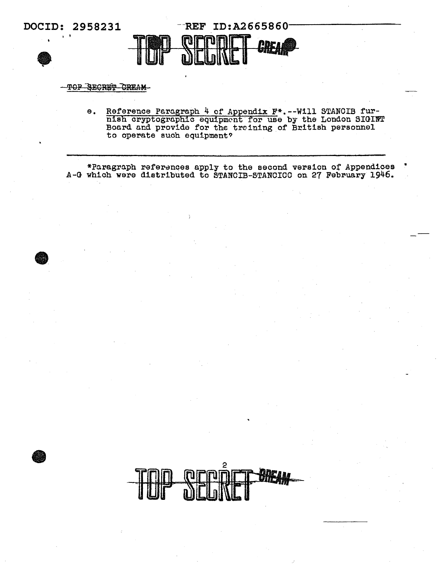

## TOP SECRET CREAM-

Reference Paragraph 4 of Appendix F<sup>\*</sup>.--Will STANCIB fur-<br>nish cryptographic equipment for use by the London SIGINT<br>Board and provide for the training of British personnel  $\pmb{\Theta}$  . to operate such equipment?

\*Paragraph references apply to the second version of Appendices<br>A-G which were distributed to STANCIB-STANCICC on 27 February 1946.

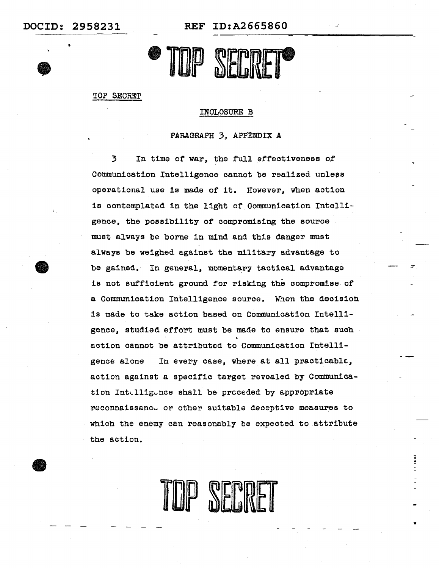•

•<br>●

**DOCID: 2958231 REF ID:A2665860** 



TOP SECRET

#### INCLOSURE B

PARAGRAPH 3, APPENDIX A

3 In time of war, the full effectiveness of Communication Intelligence cannot be realized unless operational use 1s made of 1t. However, when action is oontemplat6d in the light of Communication Intelligence, the possibility of compromising the source must always be borne in mind and this danger must always be weighed against the military advantage to be gained. In general, momentary tactical advantage is not sufficient ground for risking the compromise of a Communication Intelligence source. When the decision is made to take action based on Communication Intelligence, studied effort must be made to ensure that such action cannot be attributed to Communication Intelligence alone In every case, where at all practicable, action against a specific target revealed by Communication Intelligence shall be preceded by appropriate reconnaissance or other suitable deceptive measures to which the enemy can reasonably be expected to.attribute the action.

IP SERRET

. -

•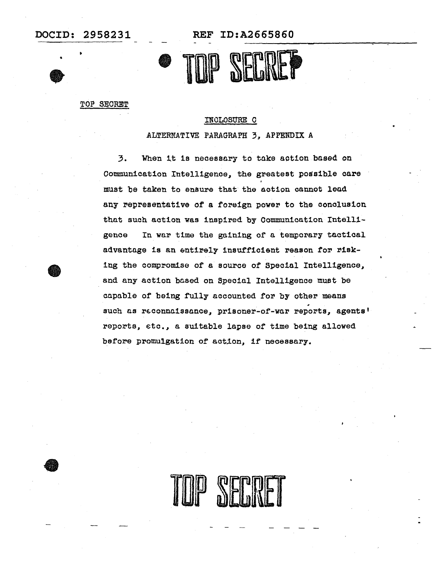•<br>●

REF ID:A2665860



TOP SECRET

#### INCLOSUBE C

ALTERNATIVE PARAGRAPH 3, APPENDIX A

3. When it is necessary to take action based on Communication Intelligence, the greatest possible care must be taken to ensure that the action cannot lead any representative of a foreign power to the conclusion that such action was inspired by Communication Intelligence In war time the gaining or a temporary tactical advantage is an entirely insufficient reason for risking the compromise of a source of Special Intelligence, and any action based on Special Intelligence must be capable of being fully accounted for by other means such as reconnaissance, prisoner-of-war reports, agents' reports, etc., a suitable lapse of time being allowed before promulgation of action, if necessary.